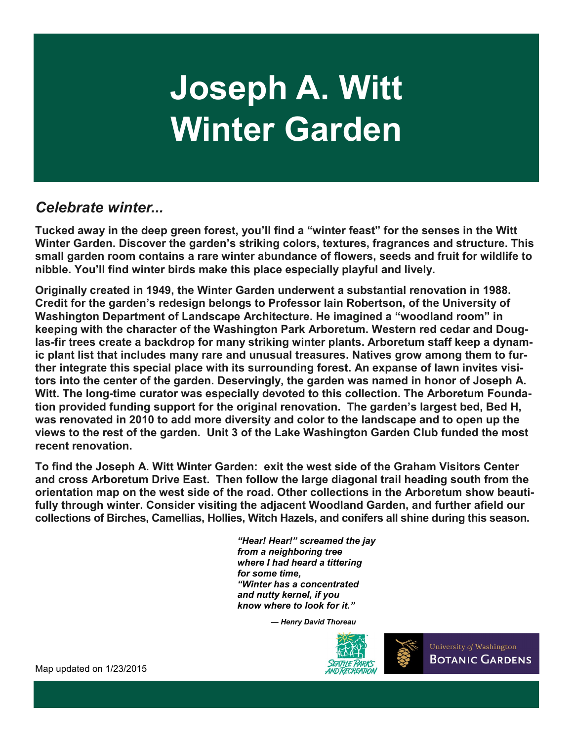# **Joseph A. Witt Winter Garden**

### *Celebrate winter...*

**Tucked away in the deep green forest, you'll find a "winter feast" for the senses in the Witt Winter Garden. Discover the garden's striking colors, textures, fragrances and structure. This small garden room contains a rare winter abundance of flowers, seeds and fruit for wildlife to nibble. You'll find winter birds make this place especially playful and lively.** 

**Originally created in 1949, the Winter Garden underwent a substantial renovation in 1988. Credit for the garden's redesign belongs to Professor Iain Robertson, of the University of Washington Department of Landscape Architecture. He imagined a "woodland room" in keeping with the character of the Washington Park Arboretum. Western red cedar and Douglas-fir trees create a backdrop for many striking winter plants. Arboretum staff keep a dynamic plant list that includes many rare and unusual treasures. Natives grow among them to further integrate this special place with its surrounding forest. An expanse of lawn invites visitors into the center of the garden. Deservingly, the garden was named in honor of Joseph A.**  Witt. The long-time curator was especially devoted to this collection. The Arboretum Founda**tion provided funding support for the original renovation. The garden's largest bed, Bed H, was renovated in 2010 to add more diversity and color to the landscape and to open up the views to the rest of the garden. Unit 3 of the Lake Washington Garden Club funded the most recent renovation.**

**To find the Joseph A. Witt Winter Garden: exit the west side of the Graham Visitors Center and cross Arboretum Drive East. Then follow the large diagonal trail heading south from the orientation map on the west side of the road. Other collections in the Arboretum show beautifully through winter. Consider visiting the adjacent Woodland Garden, and further afield our collections of Birches, Camellias, Hollies, Witch Hazels, and conifers all shine during this season.** 

> *"Hear! Hear!" screamed the jay from a neighboring tree where I had heard a tittering for some time, "Winter has a concentrated and nutty kernel, if you know where to look for it."*

> > *— Henry David Thoreau*



University of Washington **BOTANIC GARDENS** 

Map updated on 1/23/2015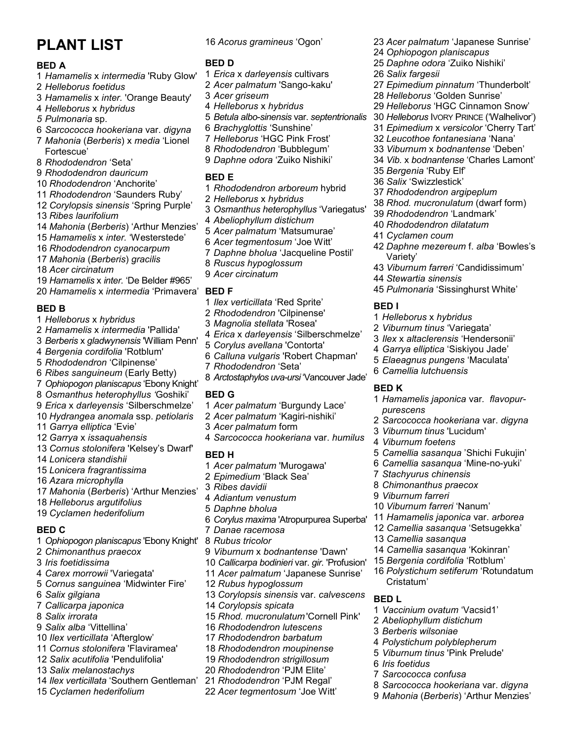## **PLANT LIST**

#### **BED A**

- *Hamamelis* x *intermedia* 'Ruby Glow'
- *Helleborus foetidus*
- *Hamamelis* x *inter.* 'Orange Beauty'
- *Helleborus* x *hybridus*
- *5 Pulmonaria* sp.
- *Sarcococca hookeriana* var. *digyna*
- *Mahonia* (*Berberis*) x *media* 'Lionel Fortescue'
- *Rhododendron* 'Seta'
- *Rhododendron dauricum*
- *Rhododendron* 'Anchorite'
- *Rhododendron* 'Saunders Ruby'
- *Corylopsis sinensis* 'Spring Purple'
- *Ribes laurifolium*
- *Mahonia* (*Berberis*) 'Arthur Menzies'
- *Hamamelis* x *inter.* 'Westerstede'
- *Rhododendron cyanocarpum*
- *Mahonia* (*Berberis*) *gracilis*
- *Acer circinatum*
- *Hamamelis* x *inter.* 'De Belder #965'
- *Hamamelis* x *intermedia* 'Primavera'

#### **BED B**

- *Helleborus* x *hybridus*
- *Hamamelis* x *intermedia* 'Pallida'
- *Berberis* x *gladwynensis* 'William Penn'
- *Bergenia cordifolia* 'Rotblum'
- *Rhododendron* 'Cilpinense'
- *Ribes sanguineum* (Early Betty)
- *Ophiopogon planiscapus* 'Ebony Knight'
- *Osmanthus heterophyllus '*Goshiki'
- *Erica* x *darleyensis* 'Silberschmelze'
- *Hydrangea anomala* ssp. *petiolaris Garrya elliptica* 'Evie'
- 
- *Garrya* x *issaquahensis*
- *Cornus stolonifera* 'Kelsey's Dwarf'
- *Lonicera standishii*
- *Lonicera fragrantissima*
- *Azara microphylla*
- *Mahonia* (*Berberis*) 'Arthur Menzies'
- *Helleborus argutifolius*
- *Cyclamen hederifolium*

#### **BED C**

- *Ophiopogon planiscapus* 'Ebony Knight'
- *Chimonanthus praecox*
- *Iris foetidissima*
- *Carex morrowii* 'Variegata'
- *Cornus sanguinea* 'Midwinter Fire'
- *Salix gilgiana*
- *Callicarpa japonica*
- *Salix irrorata*
- *Salix alba* 'Vittellina'
- *Ilex verticillata* 'Afterglow'
- *Cornus stolonifera* 'Flaviramea'
- *Salix acutifolia* 'Pendulifolia'
- *Salix melanostachys*
- *Ilex verticillata* 'Southern Gentleman'
- *Cyclamen hederifolium*

*Acorus gramineus* 'Ogon'

*Acer palmatum* 'Japanese Sunrise'

 *Epimedium pinnatum* 'Thunderbolt' *Helleborus* 'Golden Sunrise' *Helleborus* 'HGC Cinnamon Snow' *Helleborus* IVORY PRINCE ('Walhelivor') *Epimedium* x *versicolor* 'Cherry Tart' *Leucothoe fontanesiana* 'Nana' *Viburnum* x *bodnantense* 'Deben' *Vib.* x *bodnantense* 'Charles Lamont'

 *Ophiopogon planiscapus Daphne odora* 'Zuiko Nishiki'

*Salix fargesii*

 *Bergenia* 'Ruby Elf' *Salix* 'Swizzlestick'

*Cyclamen coum*

*Stewartia sinensis*

*Helleborus* x *hybridus Viburnum tinus* 'Variegata' *Ilex* x *altaclerensis* 'Hendersonii' *Garrya elliptica* 'Siskiyou Jade' *Elaeagnus pungens* 'Maculata'

*Camellia lutchuensis*

*Viburnum tinus* 'Lucidum'

Variety'

**BED I**

**BED K**

*purescens*

*Viburnum foetens*

*Stachyurus chinensis Chimonanthus praecox Viburnum farreri*

*Camellia sasanqua*

Cristatum'

*Iris foetidus*

*Sarcococca confusa*

**BED L**

*Viburnum farreri* 'Nanum'

 *Rhododendron argipeplum Rhod. mucronulatum* (dwarf form) *Rhododendron* 'Landmark' *Rhododendron dilatatum*

*Daphne mezereum* f. *alba* 'Bowles's

*Viburnum farreri* 'Candidissimum'

*Pulmonaria* 'Sissinghurst White'

*Hamamelis japonica* var*. flavopur-*

*Sarcococca hookeriana* var. *digyna*

*Camellia sasanqua* 'Shichi Fukujin' *Camellia sasanqua* 'Mine-no-yuki'

*Hamamelis japonica* var. *arborea Camellia sasanqua* 'Setsugekka'

*Camellia sasanqua* 'Kokinran' *Bergenia cordifolia* 'Rotblum' *Polystichum setiferum* 'Rotundatum

*Vaccinium ovatum* 'Vacsid1' *Abeliophyllum distichum Berberis wilsoniae*

*Polystichum polyblepherum Viburnum tinus* 'Pink Prelude'

*Sarcococca hookeriana* var. *digyna Mahonia* (*Berberis*) 'Arthur Menzies'

#### **BED D**

- *Erica* x *darleyensis* cultivars
- *Acer palmatum* 'Sango-kaku'
- *Acer griseum*
- *Helleborus* x *hybridus*
- *Betula albo*-*sinensis* var. *septentrionalis*
- *Brachyglottis* 'Sunshine'
- *Helleborus* 'HGC Pink Frost'
- *Rhododendron* 'Bubblegum'
- *Daphne odora* 'Zuiko Nishiki'

#### **BED E**

- *Rhododendron arboreum* hybrid
- *Helleborus* x *hybridus*
- *Osmanthus heterophyllus* 'Variegatus'
- *Abeliophyllum distichum*
- *Acer palmatum* 'Matsumurae'
- *Acer tegmentosum* 'Joe Witt'
- *Daphne bholua* 'Jacqueline Postil'
- *Ruscus hypoglossum*
- *Acer circinatum*

#### **BED F**

- *Ilex verticillata* 'Red Sprite'
- *Rhododendron* 'Cilpinense'
- *Magnolia stellata* 'Rosea'
- *Erica* x *darleyensis* 'Silberschmelze'
- *Corylus avellana* 'Contorta'
- *Calluna vulgaris* 'Robert Chapman'
- *Rhododendron* 'Seta'
- *Arctostaphylos uva-ursi* 'Vancouver Jade'

#### **BED G**

- *Acer palmatum* 'Burgundy Lace'
- *Acer palmatum* 'Kagiri-nishiki'
- *Acer palmatum* form
- *Sarcococca hookeriana* var. *humilus*

#### **BED H**

- *Acer palmatum* 'Murogawa'
- *Epimedium* 'Black Sea'
- *Ribes davidii*
- *Adiantum venustum*

*Rubus hypoglossum*

*Corylopsis spicata*

*Rhododendron lutescens Rhododendron barbatum Rhododendron moupinense Rhododendron strigillosum Rhododendron* 'PJM Elite' *Rhododendron* 'PJM Regal' *Acer tegmentosum* 'Joe Witt'

*Daphne bholua*

*Rubus tricolor*

*Corylus maxima* 'Atropurpurea Superba' *Danae racemosa*

*Corylopsis sinensis* var. *calvescens*

*Rhod. mucronulatum* 'Cornell Pink'

*Viburnum* x *bodnantense* 'Dawn' *Callicarpa bodinieri* var. *gir.* 'Profusion' *Acer palmatum* 'Japanese Sunrise'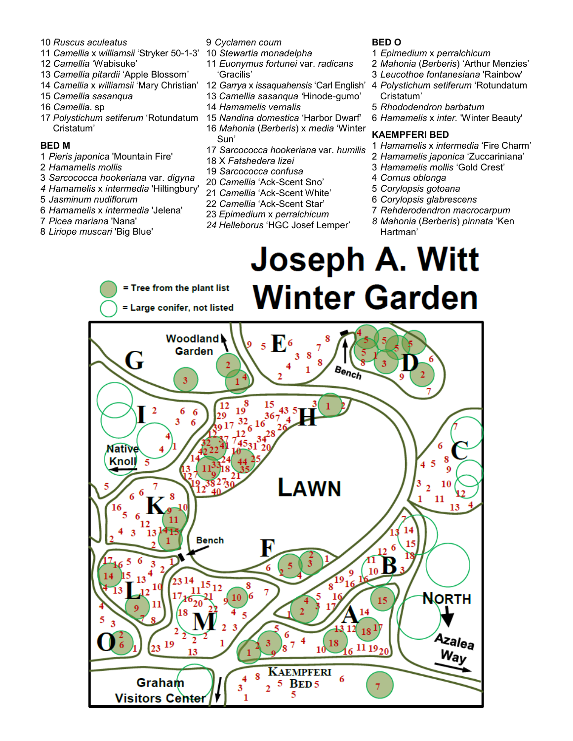- *Ruscus aculeatus*
- *Camellia* x *williamsii* 'Stryker 50-1-3' 10 *Stewartia monadelpha*
- *Camellia* 'Wabisuke'
- *Camellia pitardii* 'Apple Blossom'
- *Camellia* x *williamsii* 'Mary Christian'
- *Camellia sasanqua*
- *Camellia*. sp
- *Polystichum setiferum* 'Rotundatum Cristatum'

#### **BED M**

- *Pieris japonica* 'Mountain Fire'
- *Hamamelis mollis*
- *Sarcococca hookeriana* var. *digyna*
- *Hamamelis* x *intermedia* 'Hiltingbury'
- *Jasminum nudiflorum*
- *Hamamelis* x *intermedia* 'Jelena'
- *Picea mariana* 'Nana'
- *Liriope muscari* 'Big Blue'
- *Cyclamen coum*
- 
- *Euonymus fortunei* var. *radicans* 'Gracilis'
- *Garrya* x *issaquahensis* 'Carl English'
- *Camellia sasanqua '*Hinode-gumo'
- *Hamamelis vernalis*
- *Nandina domestica* 'Harbor Dwarf' *Mahonia* (*Berberis*) x *media* 'Winter Sun'
- *Sarcococca hookeriana* var. *humilis*
- 18 X *Fatshedera lizei*
- *Sarcococca confusa*
- *Camellia* 'Ack-Scent Sno'
- *Camellia* 'Ack-Scent White'
- *Camellia* 'Ack-Scent Star'
- *Epimedium* x *perralchicum*
- *Helleborus* 'HGC Josef Lemper'
- **BED O**
- *Epimedium* x *perralchicum*
- *Mahonia* (*Berberis*) 'Arthur Menzies'
- *Leucothoe fontanesiana* 'Rainbow'
- *Polystichum setiferum* 'Rotundatum Cristatum'
- *Rhododendron barbatum*
- *Hamamelis* x *inter.* 'Winter Beauty'

#### **KAEMPFERI BED**

- *Hamamelis* x *intermedia* 'Fire Charm'
- *Hamamelis japonica* 'Zuccariniana'
- *Hamamelis mollis* 'Gold Crest'
- *Cornus oblonga*

**Joseph A. Witt** 

- *Corylopsis gotoana*
- *Corylopsis glabrescens*
- *Rehderodendron macrocarpum*
- *Mahonia* (*Berberis*) *pinnata* 'Ken Hartman'

#### = Tree from the plant list **Winter Garden** = Large conifer, not listed **Woodland**  $5E<sup>6</sup>$ Garden Bench  $\overline{12}$  $\overline{2}$  $36<sub>2</sub>$ **Native** Knoll LAWN  $\overline{2}$ **Bench** К  $15_{12}$ **NORTH** Azalea  $1119_{20}$ Way **KAEMPFERI**  $\frac{4}{3}$ Graham 5 BED 5 **Visitors Cente**